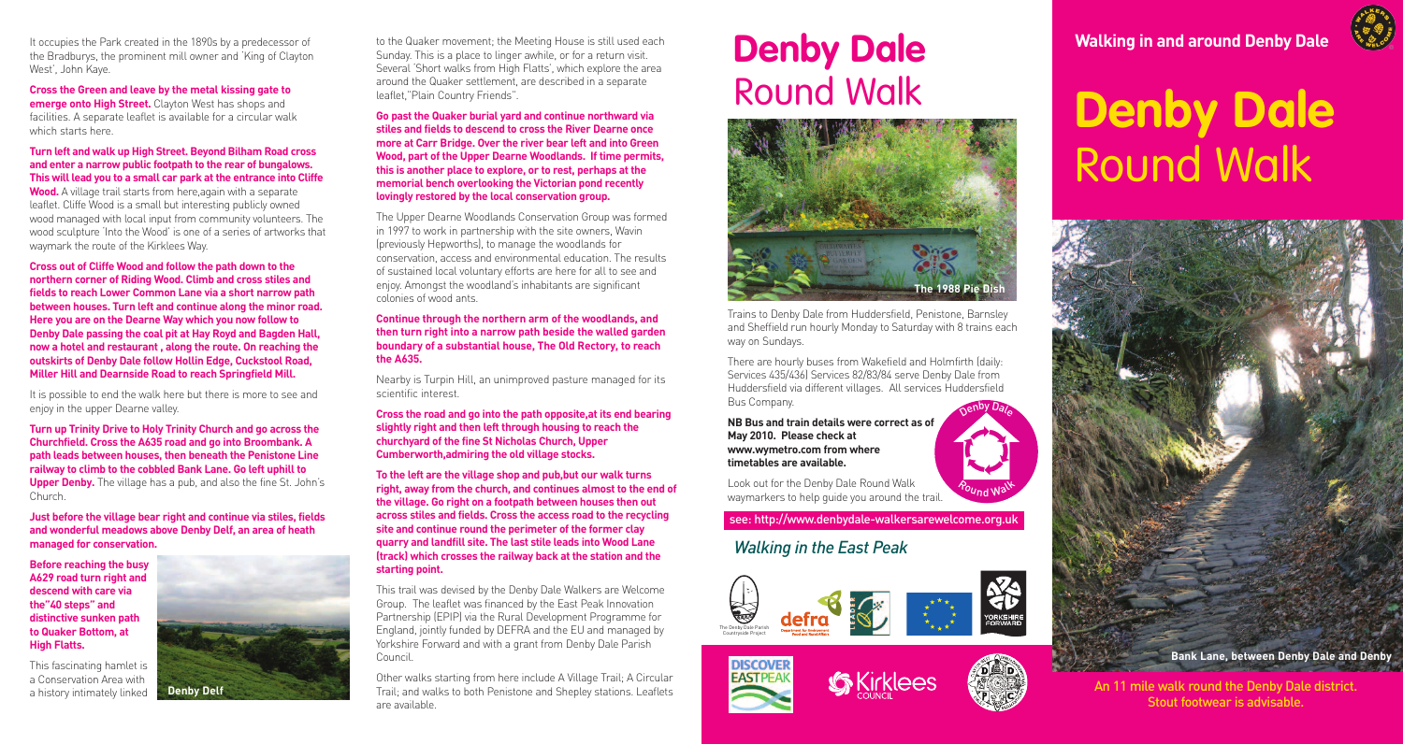It occupies the Park created in the 1890s by a predecessor of the Bradburys, the prominent mill owner and 'King of Clayton West', John Kaye.

**Cross the Green and leave by the metal kissing gate to emerge onto High Street.** Clayton West has shops and facilities. A separate leaflet is available for a circular walk which starts here.

#### **Turn left and walk up High Street. Beyond Bilham Road cross and enter a narrow public footpath to the rear of bungalows. This will lead you to a small car park at the entrance into Cliffe Wood.** A village trail starts from here,again with a separate

leaflet. Cliffe Wood is a small but interesting publicly owned wood managed with local input from community volunteers. The wood sculpture 'Into the Wood' is one of a series of artworks that waymark the route of the Kirklees Way.

**Cross out of Cliffe Wood and follow the path down to the northern corner of Riding Wood. Climb and cross stiles and fields to reach Lower Common Lane via a short narrow path between houses. Turn left and continue along the minor road. Here you are on the Dearne Way which you now follow to Denby Dale passing the coal pit at Hay Royd and Bagden Hall, now a hotel and restaurant , along the route. On reaching the outskirts of Denby Dale follow Hollin Edge, Cuckstool Road, Miller Hill and Dearnside Road to reach Springfield Mill.**

It is possible to end the walk here but there is more to see and enjoy in the upper Dearne valley.

**Turn up Trinity Drive to Holy Trinity Church and go across the Churchfield. Cross the A635 road and go into Broombank. A path leads between houses, then beneath the Penistone Line railway to climb to the cobbled Bank Lane. Go left uphill to Upper Denby.** The village has a pub, and also the fine St. John's Church.

**Just before the village bear right and continue via stiles, fields and wonderful meadows above Denby Delf, an area of heath managed for conservation.**

**Before reaching the busy A629 road turn right and descend with care via the"40 steps" and distinctive sunken path to Quaker Bottom, at High Flatts.**

This fascinating hamlet is a Conservation Area with a history intimately linked

**Denby Delf**

to the Quaker movement; the Meeting House is still used each Sunday. This is a place to linger awhile, or for a return visit. Several 'Short walks from High Flatts', which explore the area around the Quaker settlement, are described in a separate leaflet,"Plain Country Friends".

**Go past the Quaker burial yard and continue northward via stiles and fields to descend to cross the River Dearne once more at Carr Bridge. Over the river bear left and into Green Wood, part of the Upper Dearne Woodlands. If time permits, this is another place to explore, or to rest, perhaps at the memorial bench overlooking the Victorian pond recently lovingly restored by the local conservation group.**

The Upper Dearne Woodlands Conservation Group was formed in 1997 to work in partnership with the site owners, Wavin (previously Hepworths), to manage the woodlands for conservation, access and environmental education. The results of sustained local voluntary efforts are here for all to see and enjoy. Amongst the woodland's inhabitants are significant colonies of wood ants.

#### **Continue through the northern arm of the woodlands, and then turn right into a narrow path beside the walled garden boundary of a substantial house, The Old Rectory, to reach the A635.**

Nearby is Turpin Hill, an unimproved pasture managed for its scientific interest.

**Cross the road and go into the path opposite,at its end bearing slightly right and then left through housing to reach the churchyard of the fine St Nicholas Church, Upper Cumberworth,admiring the old village stocks.**

**To the left are the village shop and pub,but our walk turns right, away from the church, and continues almost to the end of the village. Go right on a footpath between houses then out across stiles and fields. Cross the access road to the recycling site and continue round the perimeter of the former clay quarry and landfill site. The last stile leads into Wood Lane (track) which crosses the railway back at the station and the starting point.**

This trail was devised by the Denby Dale Walkers are Welcome Group. The leaflet was financed by the East Peak Innovation Partnership (EPIP) via the Rural Development Programme for England, jointly funded by DEFRA and the EU and managed by Yorkshire Forward and with a grant from Denby Dale Parish Council.

Other walks starting from here include A Village Trail; A Circular Trail; and walks to both Penistone and Shepley stations. Leaflets are available.

### **Denby Dale** Round Walk



Trains to Denby Dale from Huddersfield, Penistone, Barnsley and Sheffield run hourly Monday to Saturday with 8 trains each way on Sundays.

There are hourly buses from Wakefield and Holmfirth (daily: Services 435/436) Services 82/83/84 serve Denby Dale from Huddersfield via different villages. All services Huddersfield Bus Company. Denby Dale

**NB Bus and train details were correct as of May 2010. Please check at www.wymetro.com from where timetables are available.**

Look out for the Denby Dale Round Walk waymarkers to help guide you around the trail.

see: http://www.denbydale-walkersarewelcome.org.uk

### *Walking in the East Peak*









Pound Walk

**Walking in and around Denby Dale**

# **Denby Dale** Round Walk



**Bank Lane, between Denby Dale and Denby**

An 11 mile walk round the Denby Dale district. Stout footwear is advisable.